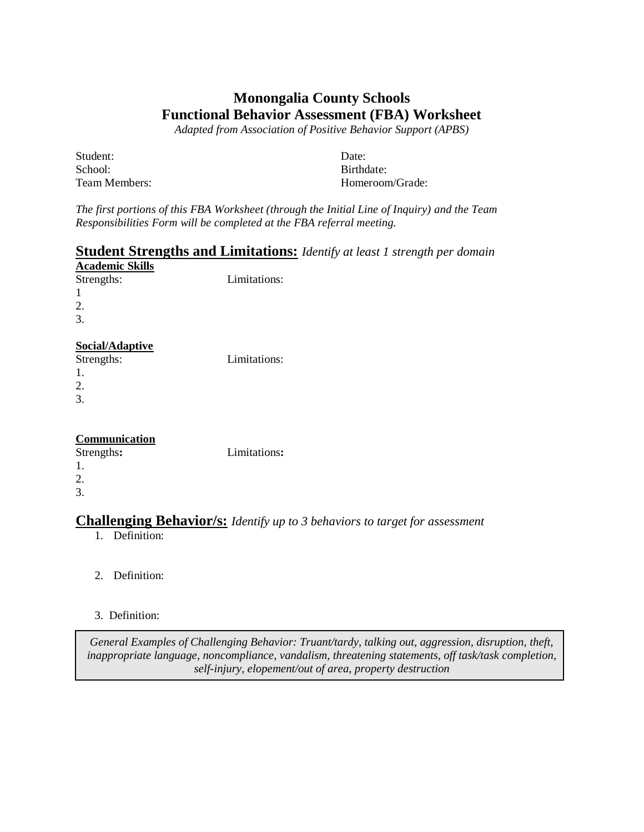## **Monongalia County Schools Functional Behavior Assessment (FBA) Worksheet**

*Adapted from Association of Positive Behavior Support (APBS)*

| Student:      | Date:           |
|---------------|-----------------|
| School:       | Birthdate:      |
| Team Members: | Homeroom/Grade: |

*The first portions of this FBA Worksheet (through the Initial Line of Inquiry) and the Team Responsibilities Form will be completed at the FBA referral meeting.*

#### **Student Strengths and Limitations:** *Identify at least 1 strength per domain* **Academic Skills**

| Strengths:      | Limitations: |
|-----------------|--------------|
|                 |              |
| 2.              |              |
| 3.              |              |
| Social/Adaptive |              |
| Strengths:      | Limitations: |

| .<br>. . |
|----------|
|          |
|          |
|          |
|          |

#### **Communication**

| Strengths: | Limitations: |
|------------|--------------|
| 1.         |              |
| 2.         |              |
| 3.         |              |

#### **Challenging Behavior/s:** *Identify up to 3 behaviors to target for assessment*

- 1. Definition:
- 2. Definition:
- 3. Definition:

*General Examples of Challenging Behavior: Truant/tardy, talking out, aggression, disruption, theft, inappropriate language, noncompliance, vandalism, threatening statements, off task/task completion, self-injury, elopement/out of area, property destruction*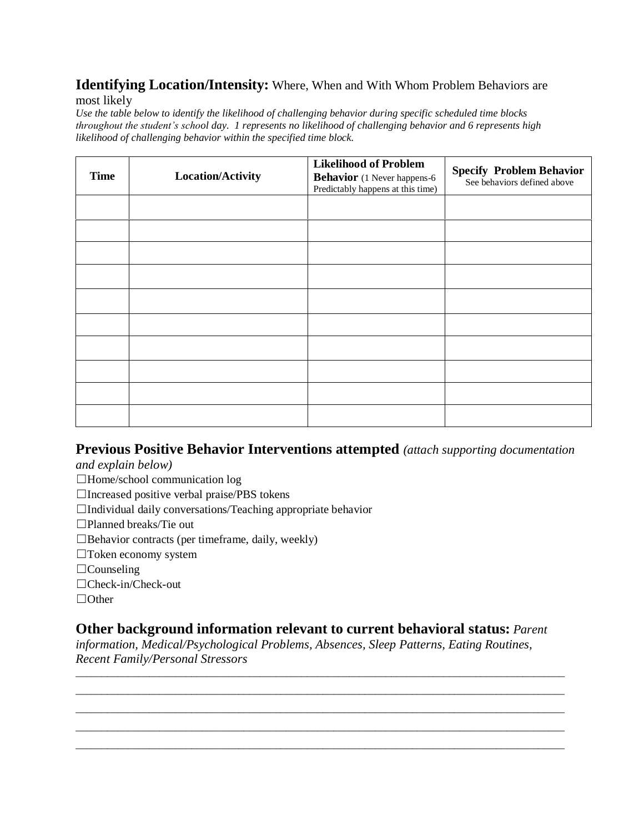#### **Identifying Location/Intensity:** Where, When and With Whom Problem Behaviors are most likely

*Use the table below to identify the likelihood of challenging behavior during specific scheduled time blocks throughout the student's school day. 1 represents no likelihood of challenging behavior and 6 represents high likelihood of challenging behavior within the specified time block.*

| <b>Time</b> | <b>Location/Activity</b> | <b>Likelihood of Problem</b><br><b>Behavior</b> (1 Never happens-6<br>Predictably happens at this time) | <b>Specify Problem Behavior</b><br>See behaviors defined above |
|-------------|--------------------------|---------------------------------------------------------------------------------------------------------|----------------------------------------------------------------|
|             |                          |                                                                                                         |                                                                |
|             |                          |                                                                                                         |                                                                |
|             |                          |                                                                                                         |                                                                |
|             |                          |                                                                                                         |                                                                |
|             |                          |                                                                                                         |                                                                |
|             |                          |                                                                                                         |                                                                |
|             |                          |                                                                                                         |                                                                |
|             |                          |                                                                                                         |                                                                |
|             |                          |                                                                                                         |                                                                |
|             |                          |                                                                                                         |                                                                |

#### **Previous Positive Behavior Interventions attempted** *(attach supporting documentation*

*and explain below)*

☐Home/school communication log

☐Increased positive verbal praise/PBS tokens

 $\Box$ Individual daily conversations/Teaching appropriate behavior

☐Planned breaks/Tie out

 $\Box$ Behavior contracts (per timeframe, daily, weekly)

☐Token economy system

 $\Box$ Counseling

☐Check-in/Check-out

 $\Box$ Other

#### **Other background information relevant to current behavioral status:** *Parent*

 $\_$  ,  $\_$  ,  $\_$  ,  $\_$  ,  $\_$  ,  $\_$  ,  $\_$  ,  $\_$  ,  $\_$  ,  $\_$  ,  $\_$  ,  $\_$  ,  $\_$  ,  $\_$  ,  $\_$  ,  $\_$  ,  $\_$  ,  $\_$  ,  $\_$  ,  $\_$  ,  $\_$  ,  $\_$  ,  $\_$  ,  $\_$  ,  $\_$  ,  $\_$  ,  $\_$  ,  $\_$  ,  $\_$  ,  $\_$  ,  $\_$  ,  $\_$  ,  $\_$  ,  $\_$  ,  $\_$  ,  $\_$  ,  $\_$  ,  $\_$  ,  $\_$  ,  $\_$  ,  $\_$  ,  $\_$  ,  $\_$  ,  $\_$  ,  $\_$  ,  $\_$  ,  $\_$  ,  $\_$  ,  $\_$  ,  $\_$  ,  $\_$  ,  $\_$  ,  $\_$  ,  $\_$  ,  $\_$  ,  $\_$  ,  $\_$  ,  $\_$  ,  $\_$  ,  $\_$  ,  $\_$  ,  $\_$  ,  $\_$  ,  $\_$  ,  $\_$  ,  $\_$  ,  $\_$  ,  $\_$  ,  $\_$  ,  $\_$  ,  $\_$  ,  $\_$  ,  $\_$  ,  $\_$  ,  $\_$  ,  $\_$  ,  $\_$  ,  $\_$  ,  $\_$  ,  $\_$  ,  $\_$  ,  $\_$  ,  $\_$  ,  $\_$  ,  $\_$  ,  $\_$  ,  $\_$  ,  $\_$  ,  $\_$  ,  $\_$  ,  $\_$  ,  $\_$  ,  $\_$  ,  $\_$  ,  $\_$  ,  $\_$  ,  $\_$  ,  $\_$  ,  $\_$  ,  $\_$  ,  $\_$  ,  $\_$  ,  $\_$  ,  $\_$  ,  $\_$  ,  $\_$  ,  $\_$  ,  $\_$  ,  $\_$  ,  $\_$  ,  $\_$  ,  $\_$  ,  $\_$  ,  $\_$  ,  $\_$  ,  $\_$  ,  $\_$  ,  $\_$  ,  $\_$  ,  $\_$  ,  $\_$  ,  $\_$  ,  $\_$  ,  $\_$  ,  $\_$  ,  $\_$  ,  $\_$  ,  $\_$  ,  $\_$  ,  $\_$  ,  $\_$  ,  $\_$  ,  $\_$  ,  $\_$  ,  $\_$  ,  $\_$  ,  $\_$  ,  $\_$  ,  $\_$  ,  $\_$  ,  $\_$  ,  $\_$  ,  $\_$  ,  $\_$  ,  $\_$  ,  $\_$  ,  $\_$  ,  $\_$  ,  $\_$  ,  $\_$  ,  $\_$  ,  $\_$  ,  $\_$  ,  $\_$  ,  $\_$  ,  $\_$  ,  $\_$  ,  $\_$  ,  $\_$  ,  $\_$  ,  $\_$  ,  $\_$  ,  $\_$  ,  $\_$  ,  $\_$  ,  $\_$  ,  $\_$  ,  $\_$  ,  $\_$  ,  $\_$  ,  $\_$  ,  $\_$  ,  $\_$  ,  $\_$  ,  $\_$  ,  $\_$  ,  $\_$  ,  $\_$  ,  $\_$  ,  $\_$  ,  $\_$  ,  $\_$  ,  $\_$  ,  $\_$  ,  $\_$  ,

*information, Medical/Psychological Problems, Absences, Sleep Patterns, Eating Routines, Recent Family/Personal Stressors*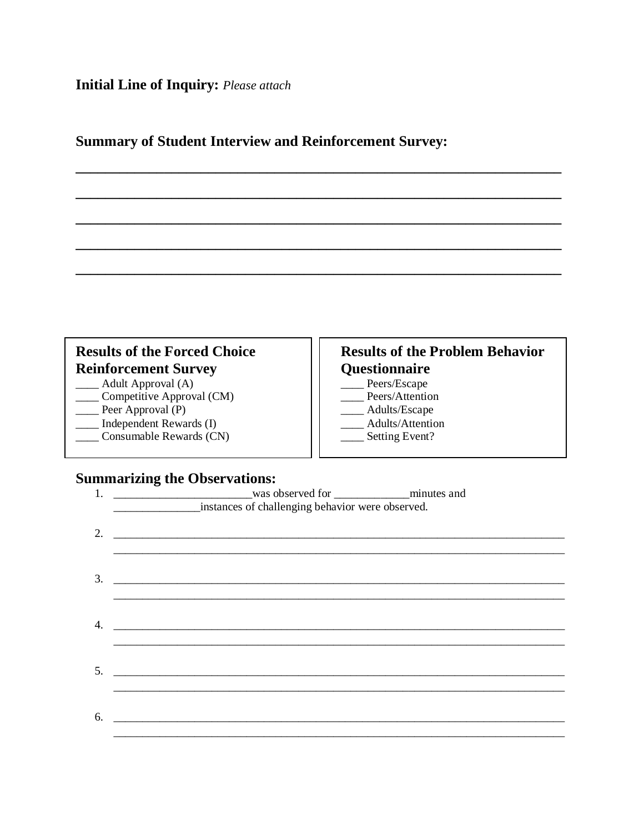#### **Initial Line of Inquiry: Please attach**

#### **Summary of Student Interview and Reinforcement Survey:**

#### **Results of the Forced Choice Reinforcement Survey** Adult Approval (A)

- Competitive Approval (CM)
- Peer Approval  $(P)$
- Independent Rewards (I)
- Consumable Rewards (CN)

## **Results of the Problem Behavior Ouestionnaire**

- Peers/Escape  $\overline{\phantom{a}}$
- \_\_\_ Peers/Attention
- \_\_\_ Adults/Escape
- Adults/Attention
- \_\_\_ Setting Event?

### **Summarizing the Observations:**

| 1. |                                                                                                                                                                                                                                                                                                                                                                                                                                                                                                                                            |
|----|--------------------------------------------------------------------------------------------------------------------------------------------------------------------------------------------------------------------------------------------------------------------------------------------------------------------------------------------------------------------------------------------------------------------------------------------------------------------------------------------------------------------------------------------|
|    | instances of challenging behavior were observed.<br>$\begin{array}{cccccccccc} \multicolumn{2}{c}{} & \multicolumn{2}{c}{} & \multicolumn{2}{c}{} & \multicolumn{2}{c}{} & \multicolumn{2}{c}{} & \multicolumn{2}{c}{} & \multicolumn{2}{c}{} & \multicolumn{2}{c}{} & \multicolumn{2}{c}{} & \multicolumn{2}{c}{} & \multicolumn{2}{c}{} & \multicolumn{2}{c}{} & \multicolumn{2}{c}{} & \multicolumn{2}{c}{} & \multicolumn{2}{c}{} & \multicolumn{2}{c}{} & \multicolumn{2}{c}{} & \multicolumn{2}{c}{} & \multicolumn{2}{c}{} & \mult$ |
|    |                                                                                                                                                                                                                                                                                                                                                                                                                                                                                                                                            |
| 2. |                                                                                                                                                                                                                                                                                                                                                                                                                                                                                                                                            |
|    |                                                                                                                                                                                                                                                                                                                                                                                                                                                                                                                                            |
|    |                                                                                                                                                                                                                                                                                                                                                                                                                                                                                                                                            |
| 3. |                                                                                                                                                                                                                                                                                                                                                                                                                                                                                                                                            |
|    |                                                                                                                                                                                                                                                                                                                                                                                                                                                                                                                                            |
|    |                                                                                                                                                                                                                                                                                                                                                                                                                                                                                                                                            |
|    |                                                                                                                                                                                                                                                                                                                                                                                                                                                                                                                                            |
| 4. |                                                                                                                                                                                                                                                                                                                                                                                                                                                                                                                                            |
|    |                                                                                                                                                                                                                                                                                                                                                                                                                                                                                                                                            |
|    |                                                                                                                                                                                                                                                                                                                                                                                                                                                                                                                                            |
| 5. |                                                                                                                                                                                                                                                                                                                                                                                                                                                                                                                                            |
|    |                                                                                                                                                                                                                                                                                                                                                                                                                                                                                                                                            |
|    |                                                                                                                                                                                                                                                                                                                                                                                                                                                                                                                                            |
| 6. |                                                                                                                                                                                                                                                                                                                                                                                                                                                                                                                                            |
|    |                                                                                                                                                                                                                                                                                                                                                                                                                                                                                                                                            |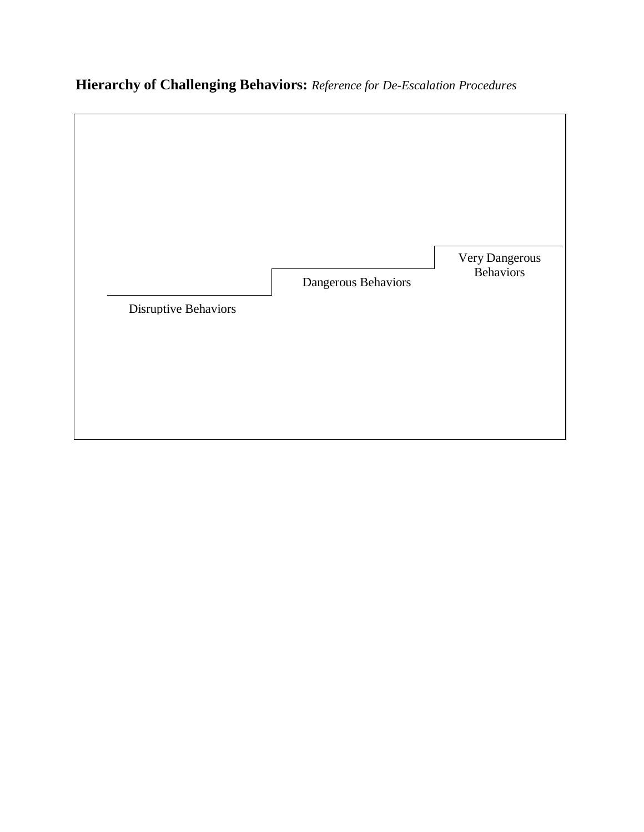**Hierarchy of Challenging Behaviors:** *Reference for De-Escalation Procedures* 

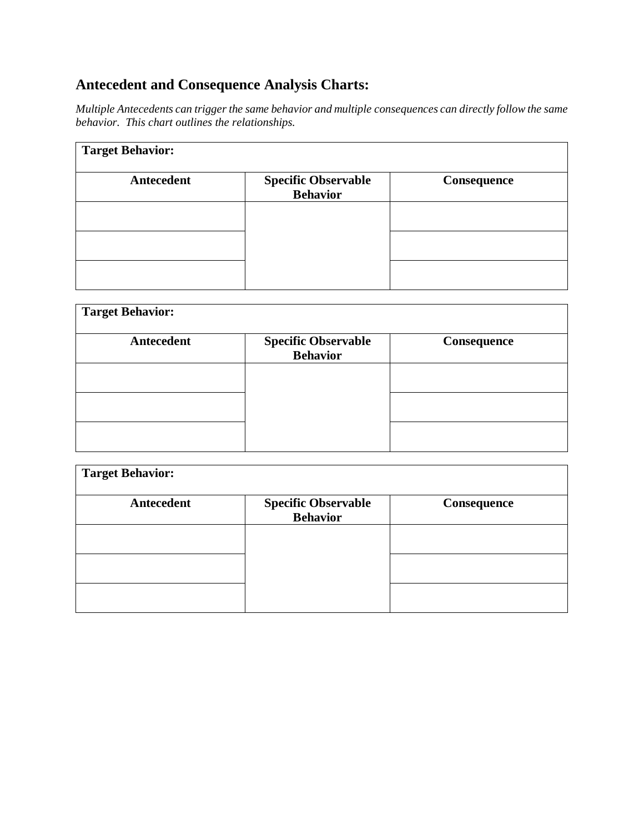# **Antecedent and Consequence Analysis Charts:**

*Multiple Antecedents can trigger the same behavior and multiple consequences can directly follow the same behavior. This chart outlines the relationships.*

| <b>Target Behavior:</b> |                                               |             |  |
|-------------------------|-----------------------------------------------|-------------|--|
| Antecedent              | <b>Specific Observable</b><br><b>Behavior</b> | Consequence |  |
|                         |                                               |             |  |
|                         |                                               |             |  |
|                         |                                               |             |  |

| <b>Target Behavior:</b> |                                               |             |
|-------------------------|-----------------------------------------------|-------------|
| Antecedent              | <b>Specific Observable</b><br><b>Behavior</b> | Consequence |
|                         |                                               |             |
|                         |                                               |             |
|                         |                                               |             |

| <b>Target Behavior:</b> |                                               |             |  |
|-------------------------|-----------------------------------------------|-------------|--|
| Antecedent              | <b>Specific Observable</b><br><b>Behavior</b> | Consequence |  |
|                         |                                               |             |  |
|                         |                                               |             |  |
|                         |                                               |             |  |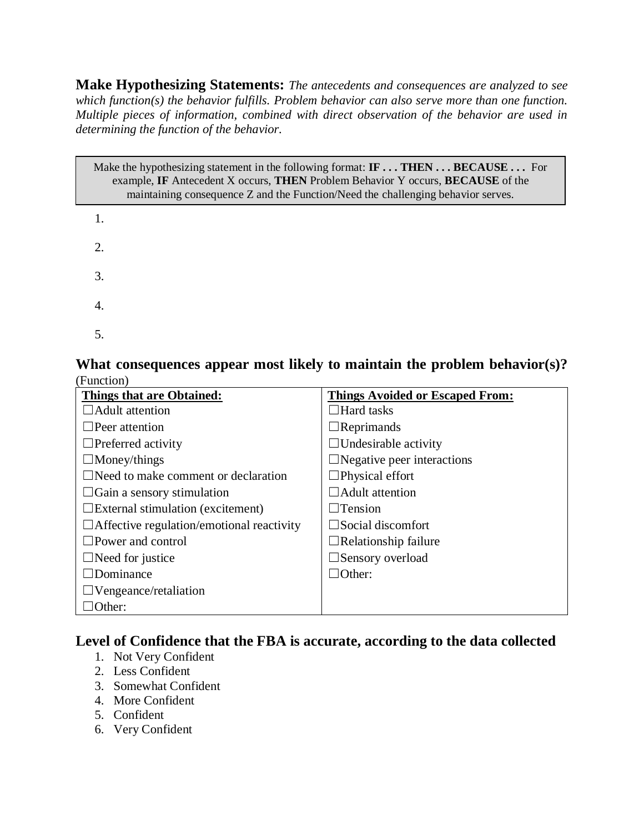**Make Hypothesizing Statements:** *The antecedents and consequences are analyzed to see*  which function(s) the behavior fulfills. Problem behavior can also serve more than one function. *Multiple pieces of information, combined with direct observation of the behavior are used in determining the function of the behavior.*

| Make the hypothesizing statement in the following format: $IF \dots$ THEN $\dots$ BECAUSE $\dots$ For |
|-------------------------------------------------------------------------------------------------------|
| example, IF Antecedent X occurs, THEN Problem Behavior Y occurs, BECAUSE of the                       |
| maintaining consequence Z and the Function/Need the challenging behavior serves.                      |
| $\mathbf{1}$ .                                                                                        |

- 2. 3.
- 4.
- 5.

**What consequences appear most likely to maintain the problem behavior(s)?**  (Function)

| <b>Things that are Obtained:</b>                 | <b>Things Avoided or Escaped From:</b> |
|--------------------------------------------------|----------------------------------------|
| $\Box$ Adult attention                           | $\Box$ Hard tasks                      |
| $\Box$ Peer attention                            | $\Box$ Reprimands                      |
| $\Box$ Preferred activity                        | $\Box$ Undesirable activity            |
| $\Box$ Money/things                              | $\Box$ Negative peer interactions      |
| $\Box$ Need to make comment or declaration       | $\Box$ Physical effort                 |
| $\Box$ Gain a sensory stimulation                | $\Box$ Adult attention                 |
| $\Box$ External stimulation (excitement)         | $\Box$ Tension                         |
| $\Box$ Affective regulation/emotional reactivity | $\Box$ Social discomfort               |
| $\square$ Power and control                      | $\Box$ Relationship failure            |
| $\Box$ Need for justice                          | $\Box$ Sensory overload                |
| $\Box$ Dominance                                 | $\Box$ Other:                          |
| $\Box$ Vengeance/retaliation                     |                                        |
| Other:                                           |                                        |

### **Level of Confidence that the FBA is accurate, according to the data collected**

- 1. Not Very Confident
- 2. Less Confident
- 3. Somewhat Confident
- 4. More Confident
- 5. Confident
- 6. Very Confident